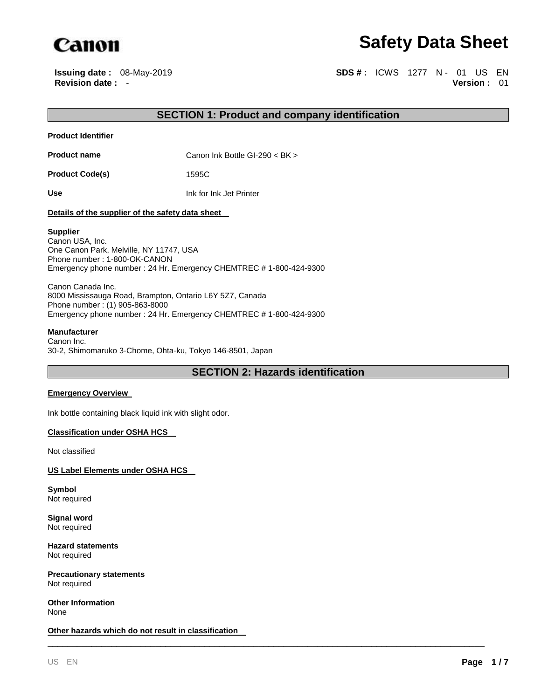

# **Safety Data Sheet**

**Issuing date :** 08-May-2019 **SDS #: ICWS** 1277 N - 01 US EN **Revision date :** - **Version :** 01

## **SECTION 1: Product and company identification**

#### **Product Identifier**

**Product name** Canon Ink Bottle GI-290 < BK >

**Product Code(s)** 1595C

**Use** Ink for Ink Jet Printer

#### **Details of the supplier of the safety data sheet**

#### **Supplier**

Canon USA, Inc. One Canon Park, Melville, NY 11747, USA Phone number : 1-800-OK-CANON Emergency phone number : 24 Hr. Emergency CHEMTREC # 1-800-424-9300

Canon Canada Inc. 8000 Mississauga Road, Brampton, Ontario L6Y 5Z7, Canada Phone number : (1) 905-863-8000 Emergency phone number : 24 Hr. Emergency CHEMTREC # 1-800-424-9300

#### **Manufacturer**

Canon Inc. 30-2, Shimomaruko 3-Chome, Ohta-ku, Tokyo 146-8501, Japan

## **SECTION 2: Hazards identification**

\_\_\_\_\_\_\_\_\_\_\_\_\_\_\_\_\_\_\_\_\_\_\_\_\_\_\_\_\_\_\_\_\_\_\_\_\_\_\_\_\_\_\_\_\_\_\_\_\_\_\_\_\_\_\_\_\_\_\_\_\_\_\_\_\_\_\_\_\_\_\_\_\_\_\_\_\_\_\_\_\_\_\_\_\_\_\_\_\_

#### **Emergency Overview**

Ink bottle containing black liquid ink with slight odor.

#### **Classification under OSHA HCS**

Not classified

#### **US Label Elements under OSHA HCS**

**Symbol** Not required

**Signal word** Not required

**Hazard statements** Not required

**Precautionary statements** Not required

**Other Information** None

**Other hazards which do not result in classification**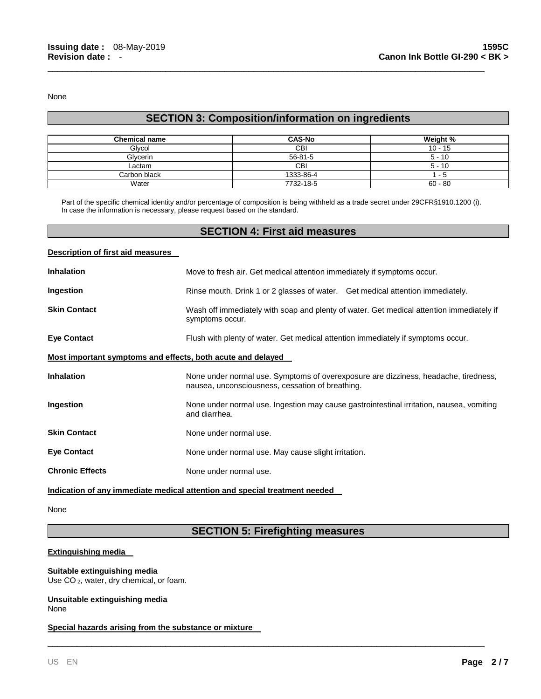None

# **SECTION 3: Composition/information on ingredients**

\_\_\_\_\_\_\_\_\_\_\_\_\_\_\_\_\_\_\_\_\_\_\_\_\_\_\_\_\_\_\_\_\_\_\_\_\_\_\_\_\_\_\_\_\_\_\_\_\_\_\_\_\_\_\_\_\_\_\_\_\_\_\_\_\_\_\_\_\_\_\_\_\_\_\_\_\_\_\_\_\_\_\_\_\_\_\_\_\_

| <b>Chemical name</b> | <b>CAS-No</b> | Weight %  |
|----------------------|---------------|-----------|
| Glycol               | <b>CBI</b>    | $10 - 15$ |
| Glycerin             | $56 - 81 - 5$ | $5 - 10$  |
| ∟actam               | <b>CBI</b>    | $5 - 10$  |
| Carbon black         | 1333-86-4     | - 5       |
| Water                | 7732-18-5     | $60 - 80$ |

Part of the specific chemical identity and/or percentage of composition is being withheld as a trade secret under 29CFR§1910.1200 (i). In case the information is necessary, please request based on the standard.

### **SECTION 4: First aid measures**

#### **Description of first aid measures**

| <b>Inhalation</b>                                           | Move to fresh air. Get medical attention immediately if symptoms occur.                                                                 |  |
|-------------------------------------------------------------|-----------------------------------------------------------------------------------------------------------------------------------------|--|
| Ingestion                                                   | Rinse mouth. Drink 1 or 2 glasses of water. Get medical attention immediately.                                                          |  |
| <b>Skin Contact</b>                                         | Wash off immediately with soap and plenty of water. Get medical attention immediately if<br>symptoms occur.                             |  |
| <b>Eye Contact</b>                                          | Flush with plenty of water. Get medical attention immediately if symptoms occur.                                                        |  |
| Most important symptoms and effects, both acute and delayed |                                                                                                                                         |  |
| <b>Inhalation</b>                                           | None under normal use. Symptoms of overexposure are dizziness, headache, tiredness,<br>nausea, unconsciousness, cessation of breathing. |  |
| Ingestion                                                   | None under normal use. Ingestion may cause gastrointestinal irritation, nausea, vomiting<br>and diarrhea.                               |  |
| <b>Skin Contact</b>                                         | None under normal use.                                                                                                                  |  |
| <b>Eye Contact</b>                                          | None under normal use. May cause slight irritation.                                                                                     |  |
| <b>Chronic Effects</b>                                      | None under normal use.                                                                                                                  |  |

# **Indication of any immediate medical attention and special treatment needed**

None

# **SECTION 5: Firefighting measures**

\_\_\_\_\_\_\_\_\_\_\_\_\_\_\_\_\_\_\_\_\_\_\_\_\_\_\_\_\_\_\_\_\_\_\_\_\_\_\_\_\_\_\_\_\_\_\_\_\_\_\_\_\_\_\_\_\_\_\_\_\_\_\_\_\_\_\_\_\_\_\_\_\_\_\_\_\_\_\_\_\_\_\_\_\_\_\_\_\_

#### **Extinguishing media**

**Suitable extinguishing media** Use CO<sub>2</sub>, water, dry chemical, or foam.

#### **Unsuitable extinguishing media** None

#### **Special hazards arising from the substance or mixture**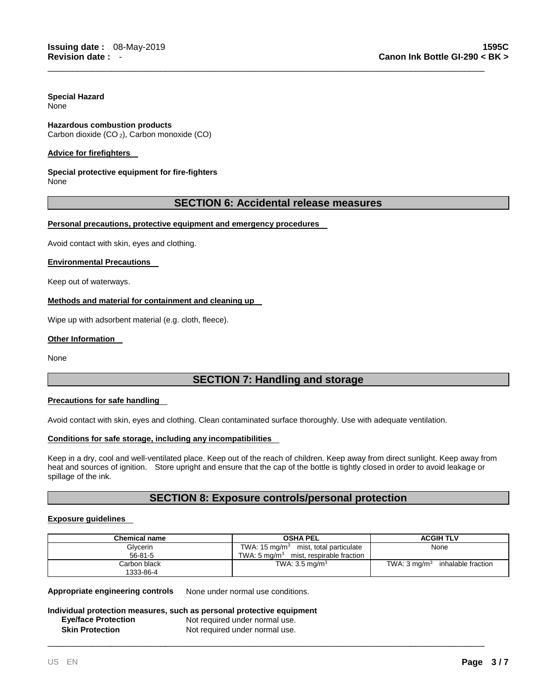#### **Special Hazard** None

# **Hazardous combustion products**

Carbon dioxide (CO <sup>2</sup>), Carbon monoxide (CO)

#### **Advice for firefighters**

# **Special protective equipment for fire-fighters**

None

### **SECTION 6: Accidental release measures**

\_\_\_\_\_\_\_\_\_\_\_\_\_\_\_\_\_\_\_\_\_\_\_\_\_\_\_\_\_\_\_\_\_\_\_\_\_\_\_\_\_\_\_\_\_\_\_\_\_\_\_\_\_\_\_\_\_\_\_\_\_\_\_\_\_\_\_\_\_\_\_\_\_\_\_\_\_\_\_\_\_\_\_\_\_\_\_\_\_

#### **Personal precautions, protective equipment and emergency procedures**

Avoid contact with skin, eyes and clothing.

#### **Environmental Precautions**

Keep out of waterways.

#### **Methods and material for containment and cleaning up**

Wipe up with adsorbent material (e.g. cloth, fleece).

#### **Other Information**

None

# **SECTION 7: Handling and storage**

#### **Precautions for safe handling**

Avoid contact with skin, eyes and clothing. Clean contaminated surface thoroughly. Use with adequate ventilation.

#### **Conditions for safe storage, including any incompatibilities**

Keep in a dry, cool and well-ventilated place. Keep out of the reach of children. Keep away from direct sunlight. Keep away from heat and sources of ignition. Store upright and ensure that the cap of the bottle is tightly closed in order to avoid leakage or spillage of the ink.

## **SECTION 8: Exposure controls/personal protection**

#### **Exposure guidelines**

| <b>Chemical name</b> | <b>OSHA PEL</b>                          | <b>ACGIH TLV</b>                           |
|----------------------|------------------------------------------|--------------------------------------------|
| Glycerin             | TWA: 15 $mg/m3$ mist, total particulate  | None                                       |
| $56 - 81 - 5$        | TWA: 5 $ma/m3$ mist, respirable fraction |                                            |
| Carbon black         | TWA: $3.5 \text{ mg/m}^3$                | TWA: $3 \text{ mq/m}^3$ inhalable fraction |
| 1333-86-4            |                                          |                                            |

\_\_\_\_\_\_\_\_\_\_\_\_\_\_\_\_\_\_\_\_\_\_\_\_\_\_\_\_\_\_\_\_\_\_\_\_\_\_\_\_\_\_\_\_\_\_\_\_\_\_\_\_\_\_\_\_\_\_\_\_\_\_\_\_\_\_\_\_\_\_\_\_\_\_\_\_\_\_\_\_\_\_\_\_\_\_\_\_\_

**Appropriate engineering controls** None under normal use conditions.

#### **Individual protection measures, such as personal protective equipment Eye/face Protection Not required under normal use. Skin Protection Not required under normal use.**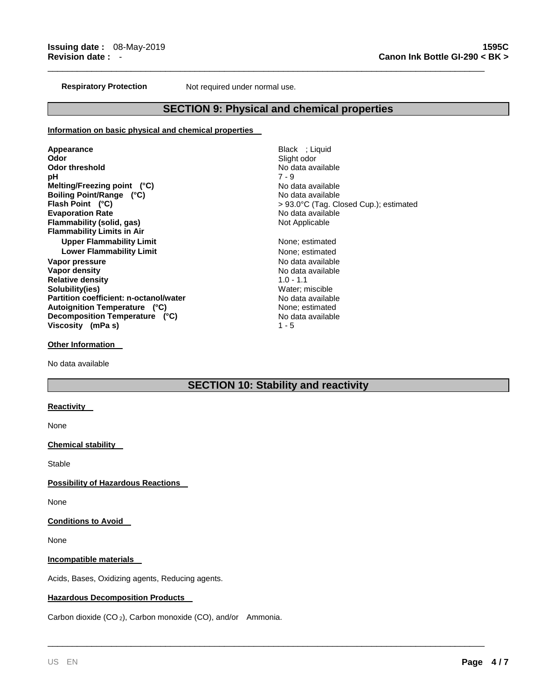**Respiratory Protection Not required under normal use.** 

#### **SECTION 9: Physical and chemical properties**

\_\_\_\_\_\_\_\_\_\_\_\_\_\_\_\_\_\_\_\_\_\_\_\_\_\_\_\_\_\_\_\_\_\_\_\_\_\_\_\_\_\_\_\_\_\_\_\_\_\_\_\_\_\_\_\_\_\_\_\_\_\_\_\_\_\_\_\_\_\_\_\_\_\_\_\_\_\_\_\_\_\_\_\_\_\_\_\_\_

#### **Information on basic physical and chemical properties**

Appearance **Black** ; Liquid **Odor** Slight odor **pH** 7 - 9 **Melting/Freezing point (°C)** No data available **Boiling Point/Range (°C)** No data available **Evaporation Rate No data available Flammability (solid, gas) Not Applicable Not Applicable Flammability Limits in Air Upper Flammability Limit None**; estimated **Lower Flammability Limit None;** estimated **Vapor pressure No data available No data available Vapor density No data available No data available Relative density** 1.0 - 1.1 **Solubility(ies)** Water; miscible **Partition coefficient: n-octanol/water <br>No data available Autoignition Temperature (°C)** None; estimated **Decomposition Temperature (°C)** No data available **Viscosity (mPa s)** 1 - 5

No data available **Flash Point (°C)** > 93.0°C (Tag. Closed Cup.); estimated

**Other Information** 

No data available

# **SECTION 10: Stability and reactivity**

\_\_\_\_\_\_\_\_\_\_\_\_\_\_\_\_\_\_\_\_\_\_\_\_\_\_\_\_\_\_\_\_\_\_\_\_\_\_\_\_\_\_\_\_\_\_\_\_\_\_\_\_\_\_\_\_\_\_\_\_\_\_\_\_\_\_\_\_\_\_\_\_\_\_\_\_\_\_\_\_\_\_\_\_\_\_\_\_\_

#### **Reactivity**

None

#### **Chemical stability**

Stable

**Possibility of Hazardous Reactions** 

None

#### **Conditions to Avoid**

None

**Incompatible materials** 

Acids, Bases, Oxidizing agents, Reducing agents.

#### **Hazardous Decomposition Products**

Carbon dioxide (CO <sup>2</sup>), Carbon monoxide (CO), and/or Ammonia.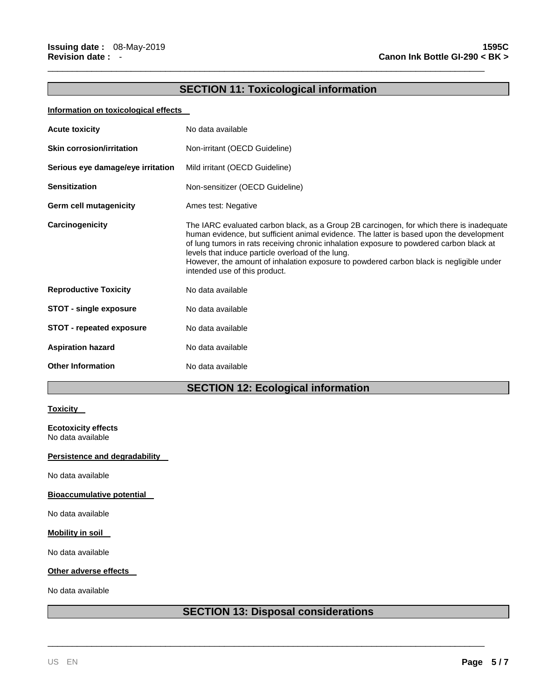# **SECTION 11: Toxicological information**

\_\_\_\_\_\_\_\_\_\_\_\_\_\_\_\_\_\_\_\_\_\_\_\_\_\_\_\_\_\_\_\_\_\_\_\_\_\_\_\_\_\_\_\_\_\_\_\_\_\_\_\_\_\_\_\_\_\_\_\_\_\_\_\_\_\_\_\_\_\_\_\_\_\_\_\_\_\_\_\_\_\_\_\_\_\_\_\_\_

#### **Information on toxicological effects**

| <b>Acute toxicity</b>             | No data available                                                                                                                                                                                                                                                                                                                                                                                                                                                 |
|-----------------------------------|-------------------------------------------------------------------------------------------------------------------------------------------------------------------------------------------------------------------------------------------------------------------------------------------------------------------------------------------------------------------------------------------------------------------------------------------------------------------|
| <b>Skin corrosion/irritation</b>  | Non-irritant (OECD Guideline)                                                                                                                                                                                                                                                                                                                                                                                                                                     |
| Serious eye damage/eye irritation | Mild irritant (OECD Guideline)                                                                                                                                                                                                                                                                                                                                                                                                                                    |
| <b>Sensitization</b>              | Non-sensitizer (OECD Guideline)                                                                                                                                                                                                                                                                                                                                                                                                                                   |
| Germ cell mutagenicity            | Ames test: Negative                                                                                                                                                                                                                                                                                                                                                                                                                                               |
| Carcinogenicity                   | The IARC evaluated carbon black, as a Group 2B carcinogen, for which there is inadequate<br>human evidence, but sufficient animal evidence. The latter is based upon the development<br>of lung tumors in rats receiving chronic inhalation exposure to powdered carbon black at<br>levels that induce particle overload of the lung.<br>However, the amount of inhalation exposure to powdered carbon black is negligible under<br>intended use of this product. |
| <b>Reproductive Toxicity</b>      | No data available                                                                                                                                                                                                                                                                                                                                                                                                                                                 |
| <b>STOT - single exposure</b>     | No data available                                                                                                                                                                                                                                                                                                                                                                                                                                                 |
| <b>STOT - repeated exposure</b>   | No data available                                                                                                                                                                                                                                                                                                                                                                                                                                                 |
| <b>Aspiration hazard</b>          | No data available                                                                                                                                                                                                                                                                                                                                                                                                                                                 |
| <b>Other Information</b>          | No data available                                                                                                                                                                                                                                                                                                                                                                                                                                                 |

# **SECTION 12: Ecological information**

#### **Toxicity**

**Ecotoxicity effects** No data available

#### **Persistence and degradability**

No data available

**Bioaccumulative potential** 

No data available

#### **Mobility in soil**

No data available

#### **Other adverse effects**

No data available

# **SECTION 13: Disposal considerations**

\_\_\_\_\_\_\_\_\_\_\_\_\_\_\_\_\_\_\_\_\_\_\_\_\_\_\_\_\_\_\_\_\_\_\_\_\_\_\_\_\_\_\_\_\_\_\_\_\_\_\_\_\_\_\_\_\_\_\_\_\_\_\_\_\_\_\_\_\_\_\_\_\_\_\_\_\_\_\_\_\_\_\_\_\_\_\_\_\_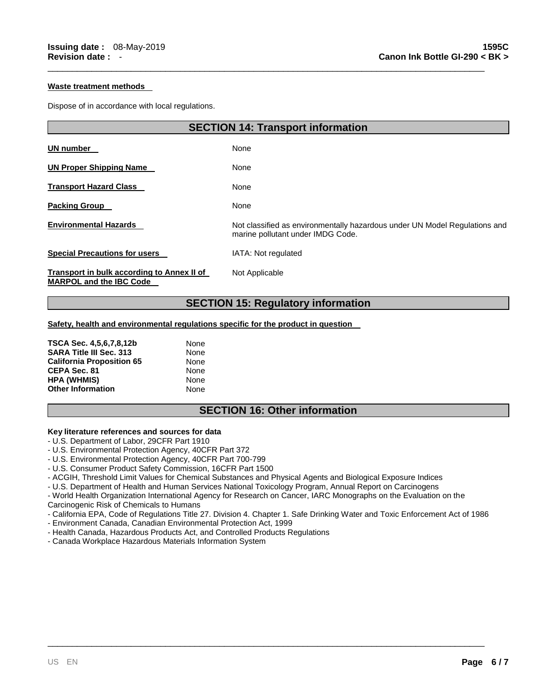#### **Waste treatment methods**

Dispose of in accordance with local regulations.

| <b>SECTION 14: Transport information</b>                                     |                                                                                                                 |  |
|------------------------------------------------------------------------------|-----------------------------------------------------------------------------------------------------------------|--|
| UN number                                                                    | None                                                                                                            |  |
| <b>UN Proper Shipping Name</b>                                               | None                                                                                                            |  |
| <b>Transport Hazard Class</b>                                                | None                                                                                                            |  |
| <b>Packing Group</b>                                                         | None                                                                                                            |  |
| <b>Environmental Hazards</b>                                                 | Not classified as environmentally hazardous under UN Model Regulations and<br>marine pollutant under IMDG Code. |  |
| <b>Special Precautions for users</b>                                         | IATA: Not regulated                                                                                             |  |
| Transport in bulk according to Annex II of<br><b>MARPOL and the IBC Code</b> | Not Applicable                                                                                                  |  |
| <b>SECTION 15: Regulatory information</b>                                    |                                                                                                                 |  |

\_\_\_\_\_\_\_\_\_\_\_\_\_\_\_\_\_\_\_\_\_\_\_\_\_\_\_\_\_\_\_\_\_\_\_\_\_\_\_\_\_\_\_\_\_\_\_\_\_\_\_\_\_\_\_\_\_\_\_\_\_\_\_\_\_\_\_\_\_\_\_\_\_\_\_\_\_\_\_\_\_\_\_\_\_\_\_\_\_

**Safety, health and environmental regulations specific for the product in question** 

| TSCA Sec. 4,5,6,7,8,12b          | None |
|----------------------------------|------|
| <b>SARA Title III Sec. 313</b>   | None |
| <b>California Proposition 65</b> | None |
| CEPA Sec. 81                     | None |
| <b>HPA (WHMIS)</b>               | None |
| <b>Other Information</b>         | None |

## **SECTION 16: Other information**

#### **Key literature references and sources for data**

- U.S. Department of Labor, 29CFR Part 1910

- U.S. Environmental Protection Agency, 40CFR Part 372
- U.S. Environmental Protection Agency, 40CFR Part 700-799
- U.S. Consumer Product Safety Commission, 16CFR Part 1500
- ACGIH, Threshold Limit Values for Chemical Substances and Physical Agents and Biological Exposure Indices
- U.S. Department of Health and Human Services National Toxicology Program, Annual Report on Carcinogens

- World Health Organization International Agency for Research on Cancer, IARC Monographs on the Evaluation on the Carcinogenic Risk of Chemicals to Humans

- California EPA, Code of Regulations Title 27. Division 4. Chapter 1. Safe Drinking Water and Toxic Enforcement Act of 1986

\_\_\_\_\_\_\_\_\_\_\_\_\_\_\_\_\_\_\_\_\_\_\_\_\_\_\_\_\_\_\_\_\_\_\_\_\_\_\_\_\_\_\_\_\_\_\_\_\_\_\_\_\_\_\_\_\_\_\_\_\_\_\_\_\_\_\_\_\_\_\_\_\_\_\_\_\_\_\_\_\_\_\_\_\_\_\_\_\_

- Environment Canada, Canadian Environmental Protection Act, 1999
- Health Canada, Hazardous Products Act, and Controlled Products Regulations
- Canada Workplace Hazardous Materials Information System